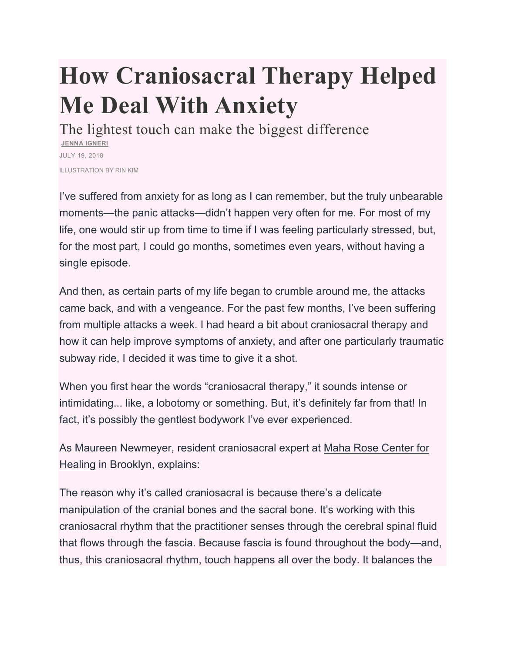## **How Craniosacral Therapy Helped Me Deal With Anxiety**

The lightest touch can make the biggest difference **JENNA IGNERI** JULY 19, 2018 ILLUSTRATION BY RIN KIM

I've suffered from anxiety for as long as I can remember, but the truly unbearable moments—the panic attacks—didn't happen very often for me. For most of my life, one would stir up from time to time if I was feeling particularly stressed, but, for the most part, I could go months, sometimes even years, without having a single episode.

And then, as certain parts of my life began to crumble around me, the attacks came back, and with a vengeance. For the past few months, I've been suffering from multiple attacks a week. I had heard a bit about craniosacral therapy and how it can help improve symptoms of anxiety, and after one particularly traumatic subway ride, I decided it was time to give it a shot.

When you first hear the words "craniosacral therapy," it sounds intense or intimidating... like, a lobotomy or something. But, it's definitely far from that! In fact, it's possibly the gentlest bodywork I've ever experienced.

As Maureen Newmeyer, resident craniosacral expert at Maha Rose Center for Healing in Brooklyn, explains:

The reason why it's called craniosacral is because there's a delicate manipulation of the cranial bones and the sacral bone. It's working with this craniosacral rhythm that the practitioner senses through the cerebral spinal fluid that flows through the fascia. Because fascia is found throughout the body—and, thus, this craniosacral rhythm, touch happens all over the body. It balances the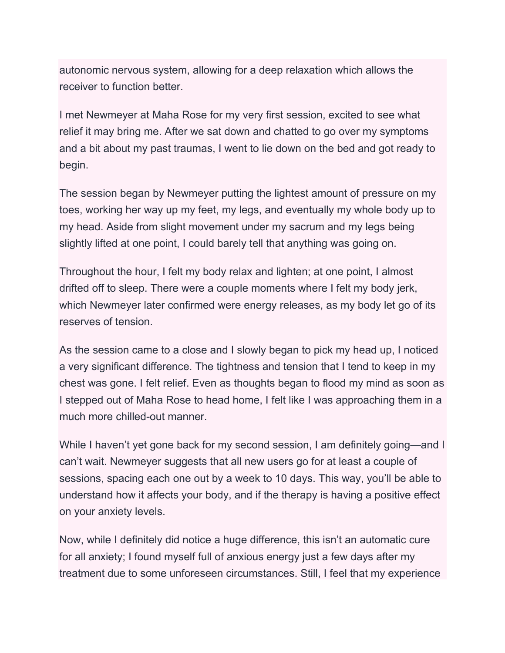autonomic nervous system, allowing for a deep relaxation which allows the receiver to function better.

I met Newmeyer at Maha Rose for my very first session, excited to see what relief it may bring me. After we sat down and chatted to go over my symptoms and a bit about my past traumas, I went to lie down on the bed and got ready to begin.

The session began by Newmeyer putting the lightest amount of pressure on my toes, working her way up my feet, my legs, and eventually my whole body up to my head. Aside from slight movement under my sacrum and my legs being slightly lifted at one point, I could barely tell that anything was going on.

Throughout the hour, I felt my body relax and lighten; at one point, I almost drifted off to sleep. There were a couple moments where I felt my body jerk, which Newmeyer later confirmed were energy releases, as my body let go of its reserves of tension.

As the session came to a close and I slowly began to pick my head up, I noticed a very significant difference. The tightness and tension that I tend to keep in my chest was gone. I felt relief. Even as thoughts began to flood my mind as soon as I stepped out of Maha Rose to head home, I felt like I was approaching them in a much more chilled-out manner.

While I haven't yet gone back for my second session, I am definitely going—and I can't wait. Newmeyer suggests that all new users go for at least a couple of sessions, spacing each one out by a week to 10 days. This way, you'll be able to understand how it affects your body, and if the therapy is having a positive effect on your anxiety levels.

Now, while I definitely did notice a huge difference, this isn't an automatic cure for all anxiety; I found myself full of anxious energy just a few days after my treatment due to some unforeseen circumstances. Still, I feel that my experience